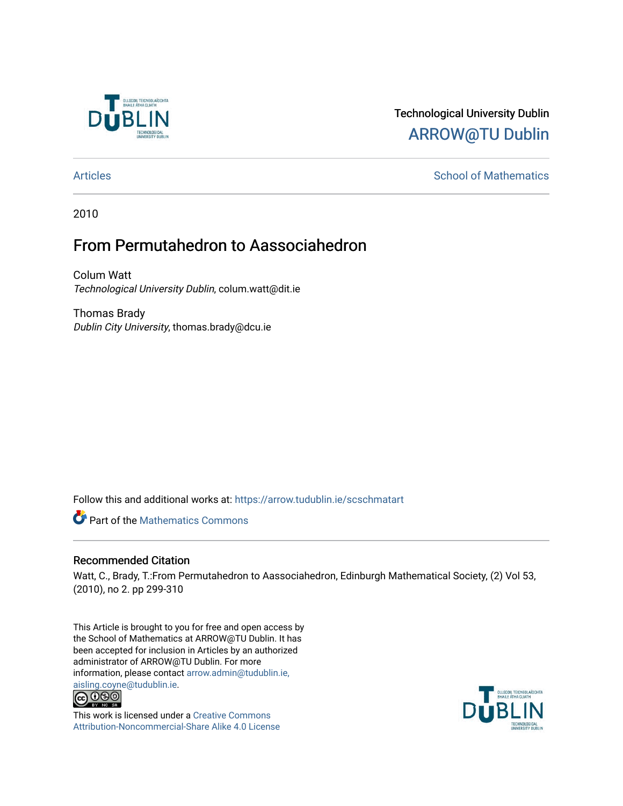

# Technological University Dublin [ARROW@TU Dublin](https://arrow.tudublin.ie/)

# [Articles](https://arrow.tudublin.ie/scschmatart) **School of Mathematics** [School of Mathematics](https://arrow.tudublin.ie/scschmat) **School of Mathematics**

2010

# From Permutahedron to Aassociahedron

Colum Watt Technological University Dublin, colum.watt@dit.ie

Thomas Brady Dublin City University, thomas.brady@dcu.ie

Follow this and additional works at: [https://arrow.tudublin.ie/scschmatart](https://arrow.tudublin.ie/scschmatart?utm_source=arrow.tudublin.ie%2Fscschmatart%2F154&utm_medium=PDF&utm_campaign=PDFCoverPages)

**P** Part of the [Mathematics Commons](http://network.bepress.com/hgg/discipline/174?utm_source=arrow.tudublin.ie%2Fscschmatart%2F154&utm_medium=PDF&utm_campaign=PDFCoverPages)

# Recommended Citation

Watt, C., Brady, T.:From Permutahedron to Aassociahedron, Edinburgh Mathematical Society, (2) Vol 53, (2010), no 2. pp 299-310

This Article is brought to you for free and open access by the School of Mathematics at ARROW@TU Dublin. It has been accepted for inclusion in Articles by an authorized administrator of ARROW@TU Dublin. For more information, please contact [arrow.admin@tudublin.ie,](mailto:arrow.admin@tudublin.ie,%20aisling.coyne@tudublin.ie)  [aisling.coyne@tudublin.ie.](mailto:arrow.admin@tudublin.ie,%20aisling.coyne@tudublin.ie)<br>  $\bigodot$  0 9 0



This work is licensed under a [Creative Commons](http://creativecommons.org/licenses/by-nc-sa/4.0/) [Attribution-Noncommercial-Share Alike 4.0 License](http://creativecommons.org/licenses/by-nc-sa/4.0/)

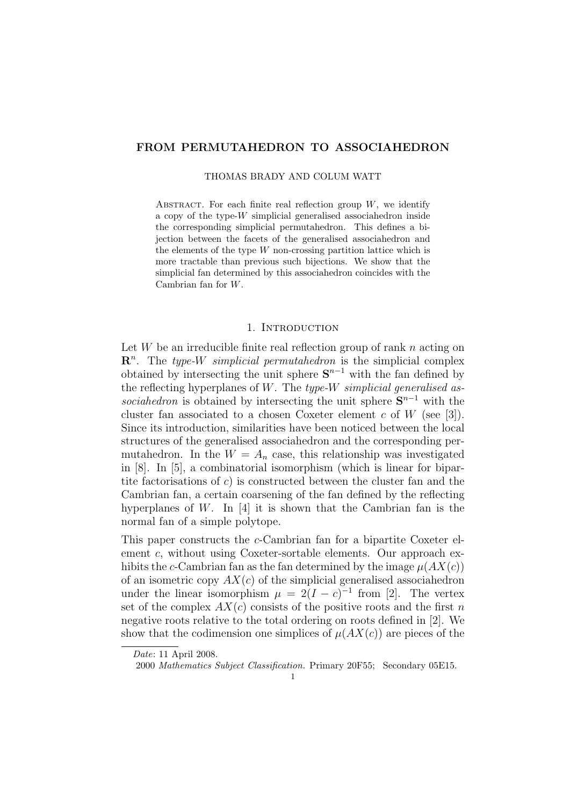## **FROM PERMUTAHEDRON TO ASSOCIAHEDRON**

# THOMAS BRADY AND COLUM WATT

ABSTRACT. For each finite real reflection group  $W$ , we identify a copy of the type-*W* simplicial generalised associahedron inside the corresponding simplicial permutahedron. This defines a bijection between the facets of the generalised associahedron and the elements of the type *W* non-crossing partition lattice which is more tractable than previous such bijections. We show that the simplicial fan determined by this associahedron coincides with the Cambrian fan for *W*.

## 1. INTRODUCTION

Let *W* be an irreducible finite real reflection group of rank *n* acting on **R** *n* . The *type-W simplicial permutahedron* is the simplicial complex obtained by intersecting the unit sphere  $S^{n-1}$  with the fan defined by the reflecting hyperplanes of *W*. The *type-W simplicial generalised associahedron* is obtained by intersecting the unit sphere  $S^{n-1}$  with the cluster fan associated to a chosen Coxeter element *c* of *W* (see [3]). Since its introduction, similarities have been noticed between the local structures of the generalised associahedron and the corresponding permutahedron. In the  $W = A_n$  case, this relationship was investigated in [8]. In [5], a combinatorial isomorphism (which is linear for bipartite factorisations of *c*) is constructed between the cluster fan and the Cambrian fan, a certain coarsening of the fan defined by the reflecting hyperplanes of *W*. In [4] it is shown that the Cambrian fan is the normal fan of a simple polytope.

This paper constructs the *c*-Cambrian fan for a bipartite Coxeter element *c*, without using Coxeter-sortable elements. Our approach exhibits the *c*-Cambrian fan as the fan determined by the image  $\mu(AX(c))$ of an isometric copy *AX*(*c*) of the simplicial generalised associahedron under the linear isomorphism  $\mu = 2(I - c)^{-1}$  from [2]. The vertex set of the complex  $AX(c)$  consists of the positive roots and the first *n* negative roots relative to the total ordering on roots defined in [2]. We show that the codimension one simplices of  $\mu(AX(c))$  are pieces of the

*Date*: 11 April 2008.

<sup>2000</sup> *Mathematics Subject Classification.* Primary 20F55; Secondary 05E15.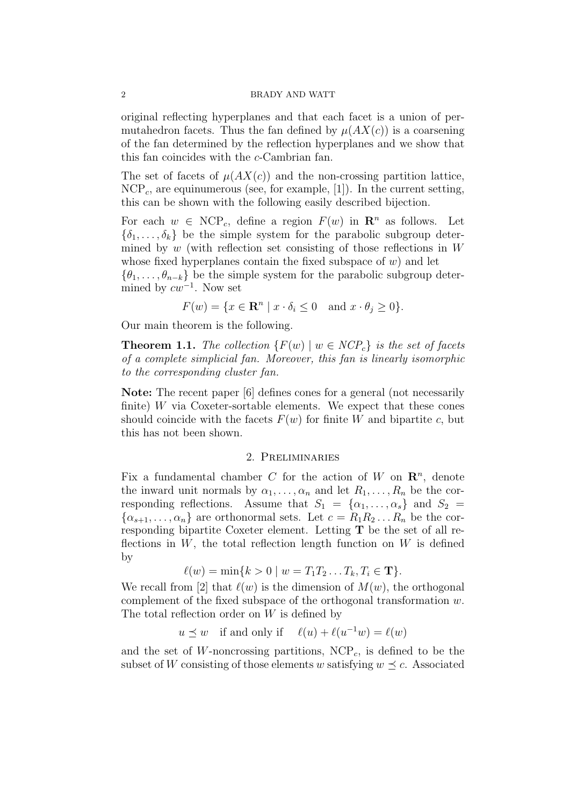original reflecting hyperplanes and that each facet is a union of permutahedron facets. Thus the fan defined by  $\mu(AX(c))$  is a coarsening of the fan determined by the reflection hyperplanes and we show that this fan coincides with the *c*-Cambrian fan.

The set of facets of  $\mu(AX(c))$  and the non-crossing partition lattice, NCP*c*, are equinumerous (see, for example, [1]). In the current setting, this can be shown with the following easily described bijection.

For each  $w \in \text{NCP}_c$ , define a region  $F(w)$  in  $\mathbb{R}^n$  as follows. Let  $\{\delta_1, \ldots, \delta_k\}$  be the simple system for the parabolic subgroup determined by *w* (with reflection set consisting of those reflections in *W* whose fixed hyperplanes contain the fixed subspace of *w*) and let

 $\{\theta_1, \ldots, \theta_{n-k}\}\)$  be the simple system for the parabolic subgroup determined by *cw−*<sup>1</sup> . Now set

$$
F(w) = \{ x \in \mathbf{R}^n \mid x \cdot \delta_i \le 0 \text{ and } x \cdot \theta_j \ge 0 \}.
$$

Our main theorem is the following.

**Theorem 1.1.** *The collection*  ${F(w) \mid w \in NCP_c}$  *is the set of facets of a complete simplicial fan. Moreover, this fan is linearly isomorphic to the corresponding cluster fan.*

**Note:** The recent paper [6] defines cones for a general (not necessarily finite) *W* via Coxeter-sortable elements. We expect that these cones should coincide with the facets  $F(w)$  for finite *W* and bipartite *c*, but this has not been shown.

# 2. Preliminaries

Fix a fundamental chamber *C* for the action of *W* on  $\mathbb{R}^n$ , denote the inward unit normals by  $\alpha_1, \ldots, \alpha_n$  and let  $R_1, \ldots, R_n$  be the corresponding reflections. Assume that  $S_1 = {\alpha_1, \dots, \alpha_s}$  and  $S_2 =$  $\{\alpha_{s+1}, \ldots, \alpha_n\}$  are orthonormal sets. Let  $c = R_1 R_2 \ldots R_n$  be the corresponding bipartite Coxeter element. Letting **T** be the set of all reflections in *W*, the total reflection length function on *W* is defined by

$$
\ell(w) = \min\{k > 0 \mid w = T_1 T_2 \dots T_k, T_i \in \mathbf{T}\}.
$$

We recall from [2] that  $\ell(w)$  is the dimension of  $M(w)$ , the orthogonal complement of the fixed subspace of the orthogonal transformation *w*. The total reflection order on *W* is defined by

 $u \preceq w$  if and only if  $\ell(u) + \ell(u^{-1}w) = \ell(w)$ 

and the set of  $W$ -noncrossing partitions,  $NCP<sub>c</sub>$ , is defined to be the subset of *W* consisting of those elements *w* satisfying  $w \prec c$ . Associated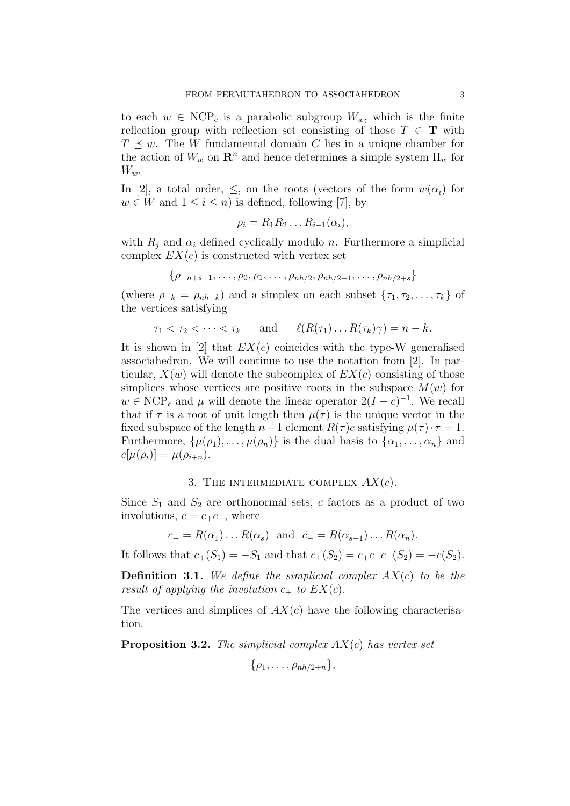to each  $w \in \text{NCP}_c$  is a parabolic subgroup  $W_w$ , which is the finite reflection group with reflection set consisting of those  $T \in \mathbf{T}$  with  $T \leq w$ . The *W* fundamental domain *C* lies in a unique chamber for the action of  $W_w$  on  $\mathbb{R}^n$  and hence determines a simple system  $\Pi_w$  for *Ww*.

In [2], a total order,  $\leq$ , on the roots (vectors of the form  $w(\alpha_i)$  for  $w \in W$  and  $1 \leq i \leq n$ ) is defined, following [7], by

$$
\rho_i = R_1 R_2 \dots R_{i-1}(\alpha_i),
$$

with  $R_j$  and  $\alpha_i$  defined cyclically modulo *n*. Furthermore a simplicial complex  $EX(c)$  is constructed with vertex set

$$
\{\rho_{-n+s+1}, \ldots, \rho_0, \rho_1, \ldots, \rho_{nh/2}, \rho_{nh/2+1}, \ldots, \rho_{nh/2+s}\}
$$

(where  $\rho_{-k} = \rho_{nh-k}$ ) and a simplex on each subset  $\{\tau_1, \tau_2, \ldots, \tau_k\}$  of the vertices satisfying

$$
\tau_1 < \tau_2 < \cdots < \tau_k \quad \text{and} \quad \ell(R(\tau_1) \dots R(\tau_k) \gamma) = n - k.
$$

It is shown in [2] that  $EX(c)$  coincides with the type-W generalised associahedron. We will continue to use the notation from [2]. In particular,  $X(w)$  will denote the subcomplex of  $EX(c)$  consisting of those simplices whose vertices are positive roots in the subspace  $M(w)$  for  $w \in \text{NCP}_c$  and  $\mu$  will denote the linear operator  $2(I-c)^{-1}$ . We recall that if  $\tau$  is a root of unit length then  $\mu(\tau)$  is the unique vector in the fixed subspace of the length  $n-1$  element  $R(\tau)c$  satisfying  $\mu(\tau)\cdot\tau=1$ . Furthermore,  $\{\mu(\rho_1), \ldots, \mu(\rho_n)\}\$ is the dual basis to  $\{\alpha_1, \ldots, \alpha_n\}$  and  $c[\mu(\rho_i)] = \mu(\rho_{i+n}).$ 

# 3. THE INTERMEDIATE COMPLEX  $AX(c)$ .

Since  $S_1$  and  $S_2$  are orthonormal sets, *c* factors as a product of two involutions,  $c = c_+c_-,$  where

$$
c_+ = R(\alpha_1) \dots R(\alpha_s)
$$
 and  $c_- = R(\alpha_{s+1}) \dots R(\alpha_n)$ .

It follows that  $c_+(S_1) = -S_1$  and that  $c_+(S_2) = c_+c_-c_-(S_2) = -c(S_2)$ .

**Definition 3.1.** *We define the simplicial complex AX*(*c*) *to be the result of applying the involution*  $c_+$  *to*  $EX(c)$ *.* 

The vertices and simplices of  $AX(c)$  have the following characterisation.

**Proposition 3.2.** *The simplicial complex AX*(*c*) *has vertex set*

$$
\{\rho_1,\ldots,\rho_{nh/2+n}\},\,
$$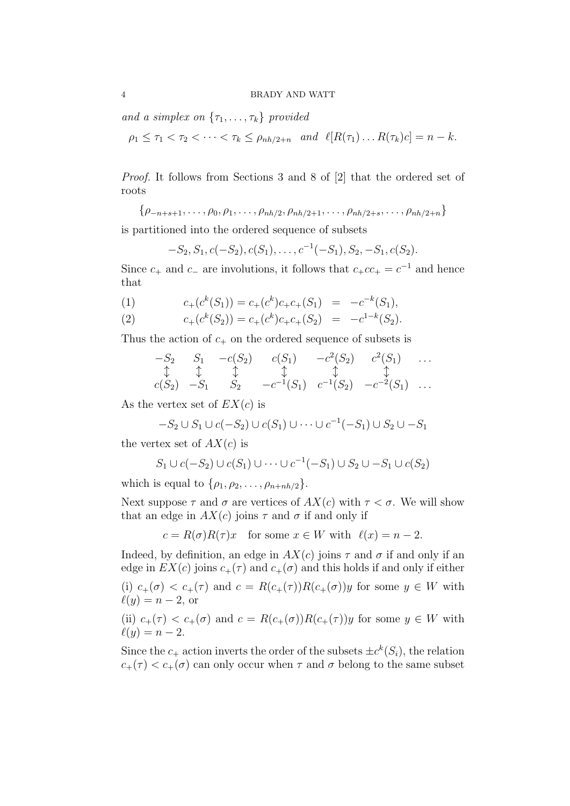*and a simplex on*  $\{\tau_1, \ldots, \tau_k\}$  *provided* 

 $\rho_1 \leq \tau_1 < \tau_2 < \cdots < \tau_k \leq \rho_{nh/2+n} \quad \text{and} \quad \ell[R(\tau_1) \dots R(\tau_k)c] = n - k.$ 

*Proof.* It follows from Sections 3 and 8 of [2] that the ordered set of roots

*{ρ−n*+*s*+1*, . . . , ρ*0*, ρ*1*, . . . , ρnh/*2*, ρnh/*2+1*, . . . , ρnh/*2+*s, . . . , ρnh/*2+*n}*

is partitioned into the ordered sequence of subsets

$$
-S_2, S_1, c(-S_2), c(S_1), \ldots, c^{-1}(-S_1), S_2, -S_1, c(S_2).
$$

Since  $c_+$  and  $c_-$  are involutions, it follows that  $c_+ c c_+ = c^{-1}$  and hence that

(1) 
$$
c_{+}(c^{k}(S_{1})) = c_{+}(c^{k})c_{+}c_{+}(S_{1}) = -c^{-k}(S_{1}),
$$

(2) 
$$
c_{+}(c^{k}(S_{2})) = c_{+}(c^{k})c_{+}c_{+}(S_{2}) = -c^{1-k}(S_{2}).
$$

Thus the action of  $c_{+}$  on the ordered sequence of subsets is

$$
\begin{array}{ccccccccc}\n-S_2 & S_1 & -c(S_2) & c(S_1) & -c^2(S_2) & c^2(S_1) & \dots \\
\updownarrow & \updownarrow & \updownarrow & \updownarrow & \updownarrow & \updownarrow & \dots \\
c(S_2) & -S_1 & S_2 & -c^{-1}(S_1) & c^{-1}(S_2) & -c^{-2}(S_1) & \dots\n\end{array}
$$

As the vertex set of *EX*(*c*) is

$$
-S_2 \cup S_1 \cup c(-S_2) \cup c(S_1) \cup \cdots \cup c^{-1}(-S_1) \cup S_2 \cup -S_1
$$

the vertex set of  $AX(c)$  is

$$
S_1 \cup c(-S_2) \cup c(S_1) \cup \cdots \cup c^{-1}(-S_1) \cup S_2 \cup -S_1 \cup c(S_2)
$$

which is equal to  $\{\rho_1, \rho_2, \ldots, \rho_{n+nh/2}\}.$ 

Next suppose  $\tau$  and  $\sigma$  are vertices of  $AX(c)$  with  $\tau < \sigma$ . We will show that an edge in  $AX(c)$  joins  $\tau$  and  $\sigma$  if and only if

 $c = R(\sigma)R(\tau)x$  for some  $x \in W$  with  $\ell(x) = n-2$ .

Indeed, by definition, an edge in  $AX(c)$  joins  $\tau$  and  $\sigma$  if and only if an edge in  $EX(c)$  joins  $c_{+}(\tau)$  and  $c_{+}(\sigma)$  and this holds if and only if either

(i)  $c_{+}(\sigma) < c_{+}(\tau)$  and  $c = R(c_{+}(\tau))R(c_{+}(\sigma))y$  for some  $y \in W$  with  $\ell(y) = n-2$ , or

(ii)  $c_{+}(\tau) < c_{+}(\sigma)$  and  $c = R(c_{+}(\sigma))R(c_{+}(\tau))y$  for some  $y \in W$  with  $\ell(y) = n - 2.$ 

Since the  $c_+$  action inverts the order of the subsets  $\pm c^k(S_i)$ , the relation  $c_{+}(\tau) < c_{+}(\sigma)$  can only occur when  $\tau$  and  $\sigma$  belong to the same subset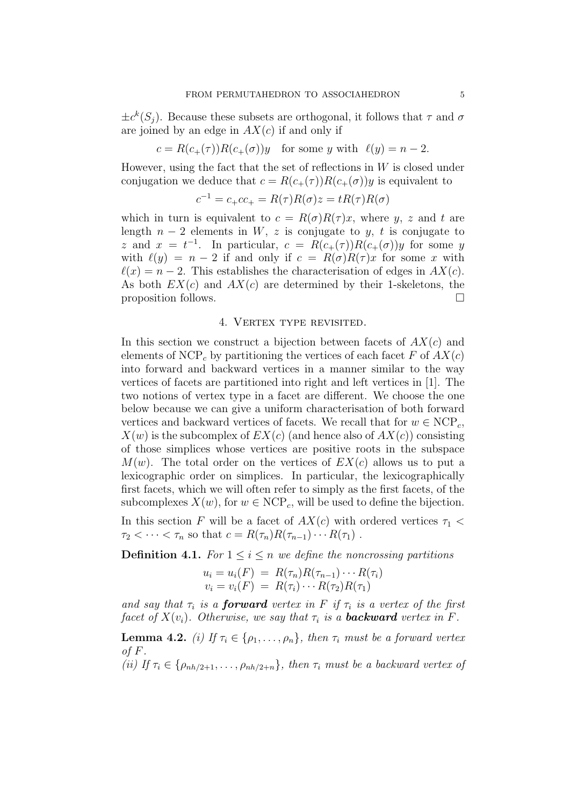$\pm c^k(S_j)$ . Because these subsets are orthogonal, it follows that  $\tau$  and  $\sigma$ are joined by an edge in  $AX(c)$  if and only if

$$
c = R(c_{+}(\tau))R(c_{+}(\sigma))y \text{ for some } y \text{ with } \ell(y) = n - 2.
$$

However, using the fact that the set of reflections in *W* is closed under conjugation we deduce that  $c = R(c_{+}(\tau))R(c_{+}(\sigma))y$  is equivalent to

$$
c^{-1} = c_{+}cc_{+} = R(\tau)R(\sigma)z = tR(\tau)R(\sigma)
$$

which in turn is equivalent to  $c = R(\sigma)R(\tau)x$ , where *y*, *z* and *t* are length  $n-2$  elements in *W*, *z* is conjugate to *y*, *t* is conjugate to *z* and  $x = t^{-1}$ . In particular,  $c = R(c_+(\tau))R(c_+(\sigma))y$  for some *y* with  $\ell(y) = n - 2$  if and only if  $c = R(\sigma)R(\tau)x$  for some *x* with  $\ell(x) = n-2$ . This establishes the characterisation of edges in  $AX(c)$ . As both *EX*(*c*) and *AX*(*c*) are determined by their 1-skeletons, the proposition follows.

# 4. VERTEX TYPE REVISITED.

In this section we construct a bijection between facets of *AX*(*c*) and elements of NCP<sub>c</sub> by partitioning the vertices of each facet  $F$  of  $AX(c)$ into forward and backward vertices in a manner similar to the way vertices of facets are partitioned into right and left vertices in [1]. The two notions of vertex type in a facet are different. We choose the one below because we can give a uniform characterisation of both forward vertices and backward vertices of facets. We recall that for  $w \in \text{NCP}_c$ ,  $X(w)$  is the subcomplex of  $EX(c)$  (and hence also of  $AX(c)$ ) consisting of those simplices whose vertices are positive roots in the subspace  $M(w)$ . The total order on the vertices of  $EX(c)$  allows us to put a lexicographic order on simplices. In particular, the lexicographically first facets, which we will often refer to simply as the first facets, of the subcomplexes  $X(w)$ , for  $w \in \text{NCP}_c$ , will be used to define the bijection.

In this section *F* will be a facet of  $AX(c)$  with ordered vertices  $\tau_1$  $\tau_2 < \cdots < \tau_n$  so that  $c = R(\tau_n)R(\tau_{n-1})\cdots R(\tau_1)$ .

**Definition 4.1.** *For*  $1 \leq i \leq n$  *we define the noncrossing partitions* 

$$
u_i = u_i(F) = R(\tau_n)R(\tau_{n-1})\cdots R(\tau_i)
$$
  

$$
v_i = v_i(F) = R(\tau_i)\cdots R(\tau_2)R(\tau_1)
$$

*and say that*  $\tau_i$  *is a forward vertex in*  $F$  *if*  $\tau_i$  *is a vertex of the first facet of*  $X(v_i)$ *. Otherwise, we say that*  $\tau_i$  *is a backward vertex in F.* 

**Lemma 4.2.** *(i)* If  $\tau_i \in \{\rho_1, \ldots, \rho_n\}$ , then  $\tau_i$  must be a forward vertex *of F.*

*(ii) If*  $\tau_i \in \{\rho_{nh/2+1}, \ldots, \rho_{nh/2+n}\}\$ , then  $\tau_i$  must be a backward vertex of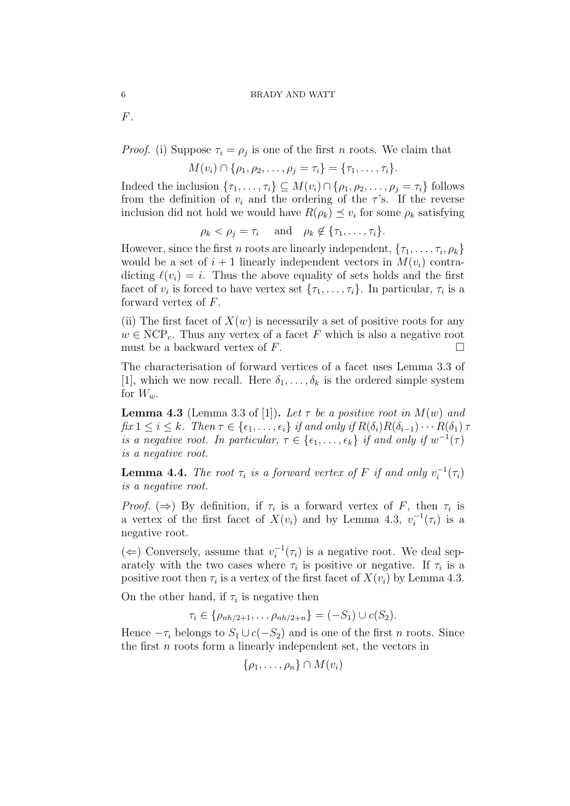*F.*

*Proof.* (i) Suppose  $\tau_i = \rho_j$  is one of the first *n* roots. We claim that

$$
M(v_i) \cap \{ \rho_1, \rho_2, \ldots, \rho_j = \tau_i \} = \{ \tau_1, \ldots, \tau_i \}.
$$

Indeed the inclusion  $\{\tau_1, \ldots, \tau_i\} \subseteq M(v_i) \cap \{\rho_1, \rho_2, \ldots, \rho_j = \tau_i\}$  follows from the definition of  $v_i$  and the ordering of the  $\tau$ 's. If the reverse inclusion did not hold we would have  $R(\rho_k) \preceq v_i$  for some  $\rho_k$  satisfying

$$
\rho_k < \rho_j = \tau_i \quad \text{and} \quad \rho_k \notin \{\tau_1, \ldots, \tau_i\}.
$$

However, since the first *n* roots are linearly independent,  $\{\tau_1, \ldots, \tau_i, \rho_k\}$ would be a set of  $i + 1$  linearly independent vectors in  $M(v_i)$  contradicting  $\ell(v_i) = i$ . Thus the above equality of sets holds and the first facet of  $v_i$  is forced to have vertex set  $\{\tau_1, \ldots, \tau_i\}$ . In particular,  $\tau_i$  is a forward vertex of *F*.

(ii) The first facet of  $X(w)$  is necessarily a set of positive roots for any  $w \in \text{NCP}_c$ . Thus any vertex of a facet *F* which is also a negative root must be a backward vertex of  $F$ .

The characterisation of forward vertices of a facet uses Lemma 3.3 of [1], which we now recall. Here  $\delta_1, \ldots, \delta_k$  is the ordered simple system for  $W_w$ .

**Lemma 4.3** (Lemma 3.3 of [1]). Let  $\tau$  be a positive root in  $M(w)$  and  $\int x \leq i \leq k$ . Then  $\tau \in \{\epsilon_1, \ldots, \epsilon_i\}$  if and only if  $R(\delta_i)R(\delta_{i-1})\cdots R(\delta_1)\tau$ *is a negative root. In particular,*  $\tau \in \{\epsilon_1, \ldots, \epsilon_k\}$  *if and only if*  $w^{-1}(\tau)$ *is a negative root.*

**Lemma 4.4.** *The root*  $\tau_i$  *is a forward vertex of*  $F$  *if and only*  $v_i^{-1}(\tau_i)$ *is a negative root.*

*Proof.* ( $\Rightarrow$ ) By definition, if  $\tau_i$  is a forward vertex of *F*, then  $\tau_i$  is a vertex of the first facet of  $X(v_i)$  and by Lemma 4.3,  $v_i^{-1}(\tau_i)$  is a negative root.

( $\Leftarrow$ ) Conversely, assume that  $v_i^{-1}(\tau_i)$  is a negative root. We deal separately with the two cases where  $\tau_i$  is positive or negative. If  $\tau_i$  is a positive root then  $\tau_i$  is a vertex of the first facet of  $X(v_i)$  by Lemma 4.3.

On the other hand, if  $\tau_i$  is negative then

$$
\tau_i \in \{\rho_{nh/2+1}, \ldots \rho_{nh/2+n}\} = (-S_1) \cup c(S_2).
$$

Hence  $-\tau_i$  belongs to  $S_1 \cup c(-S_2)$  and is one of the first *n* roots. Since the first *n* roots form a linearly independent set, the vectors in

$$
\{\rho_1,\ldots,\rho_n\}\cap M(v_i)
$$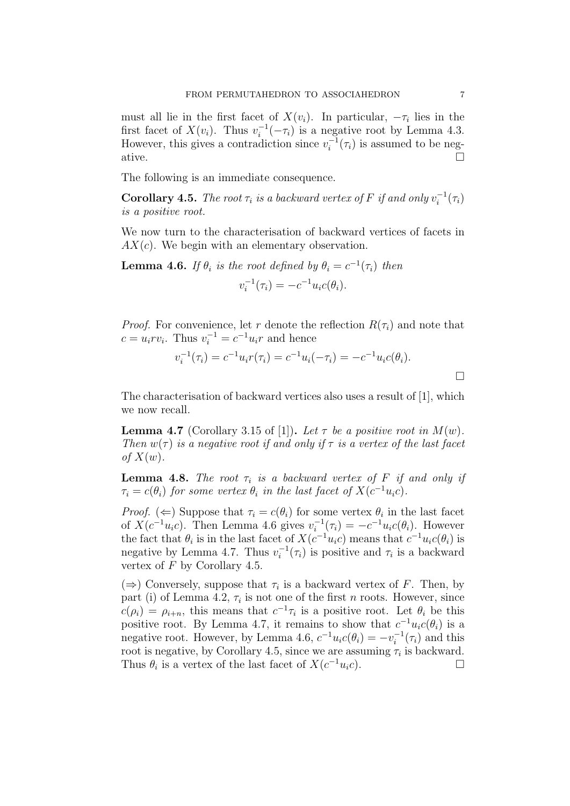must all lie in the first facet of  $X(v_i)$ . In particular,  $-\tau_i$  lies in the first facet of  $X(v_i)$ . Thus  $v_i^{-1}(-\tau_i)$  is a negative root by Lemma 4.3. However, this gives a contradiction since  $v_i^{-1}(\tau_i)$  is assumed to be negative.  $\Box$ 

The following is an immediate consequence.

**Corollary 4.5.** *The root*  $\tau_i$  *is a backward vertex of*  $F$  *if and only*  $v_i^{-1}(\tau_i)$ *is a positive root.*

We now turn to the characterisation of backward vertices of facets in *AX*(*c*). We begin with an elementary observation.

**Lemma 4.6.** *If*  $\theta_i$  *is the root defined by*  $\theta_i = c^{-1}(\tau_i)$  *then*  $v_i^{-1}(\tau_i) = -c^{-1}u_i c(\theta_i).$ 

*Proof.* For convenience, let *r* denote the reflection  $R(\tau_i)$  and note that  $c = u_i r v_i$ . Thus  $v_i^{-1} = c^{-1} u_i r$  and hence

$$
v_i^{-1}(\tau_i) = c^{-1}u_i r(\tau_i) = c^{-1}u_i(-\tau_i) = -c^{-1}u_i c(\theta_i).
$$

The characterisation of backward vertices also uses a result of [1], which we now recall.

**Lemma 4.7** (Corollary 3.15 of [1]). Let  $\tau$  be a positive root in  $M(w)$ . *Then*  $w(\tau)$  *is a negative root if and only if*  $\tau$  *is a vertex of the last facet of*  $X(w)$ *.* 

**Lemma 4.8.** *The root*  $\tau_i$  *is a backward vertex of*  $F$  *if and only if*  $\tau_i = c(\theta_i)$  *for some vertex*  $\theta_i$  *in the last facet of*  $X(c^{-1}u_i c)$ *.* 

*Proof.* ( $\Leftarrow$ ) Suppose that  $\tau_i = c(\theta_i)$  for some vertex  $\theta_i$  in the last facet of  $X(c^{-1}u_ic)$ . Then Lemma 4.6 gives  $v_i^{-1}(\tau_i) = -c^{-1}u_ic(\theta_i)$ . However the fact that  $\theta_i$  is in the last facet of  $X(c^{-1}u_ic)$  means that  $c^{-1}u_ic(\theta_i)$  is negative by Lemma 4.7. Thus  $v_i^{-1}(\tau_i)$  is positive and  $\tau_i$  is a backward vertex of *F* by Corollary 4.5.

 $(\Rightarrow)$  Conversely, suppose that  $\tau_i$  is a backward vertex of *F*. Then, by part (i) of Lemma 4.2,  $\tau_i$  is not one of the first *n* roots. However, since  $c(\rho_i) = \rho_{i+n}$ , this means that  $c^{-1}\tau_i$  is a positive root. Let  $\theta_i$  be this positive root. By Lemma 4.7, it remains to show that  $c^{-1}u_i c(\theta_i)$  is a negative root. However, by Lemma 4.6,  $c^{-1}u_i c(\theta_i) = -v_i^{-1}(\tau_i)$  and this root is negative, by Corollary 4.5, since we are assuming  $\tau_i$  is backward. Thus  $\theta_i$  is a vertex of the last facet of  $X(c^{-1}u_i c)$ .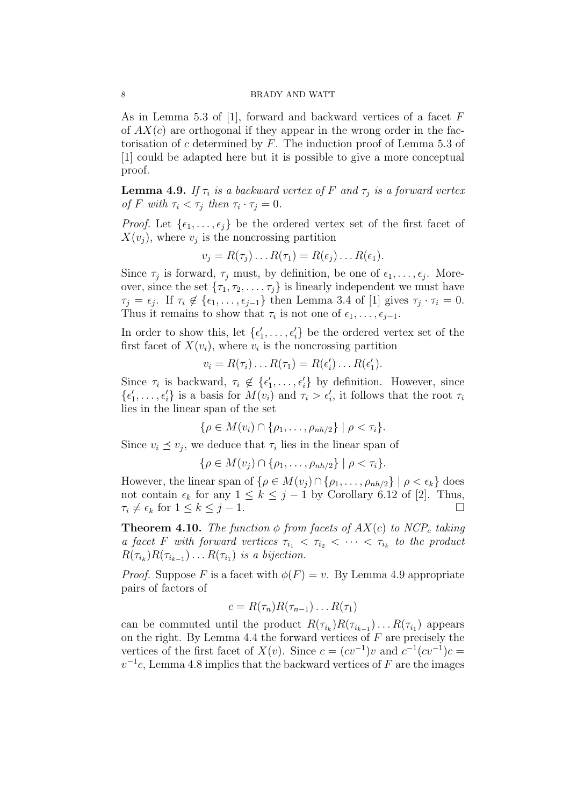As in Lemma 5.3 of [1], forward and backward vertices of a facet *F* of *AX*(*c*) are orthogonal if they appear in the wrong order in the factorisation of *c* determined by *F*. The induction proof of Lemma 5.3 of [1] could be adapted here but it is possible to give a more conceptual proof.

**Lemma 4.9.** *If*  $\tau_i$  *is a backward vertex of*  $F$  *and*  $\tau_j$  *is a forward vertex of F with*  $\tau_i < \tau_j$  *then*  $\tau_i \cdot \tau_j = 0$ *.* 

*Proof.* Let  $\{\epsilon_1, \ldots, \epsilon_i\}$  be the ordered vertex set of the first facet of  $X(v_j)$ , where  $v_j$  is the noncrossing partition

$$
v_j = R(\tau_j) \dots R(\tau_1) = R(\epsilon_j) \dots R(\epsilon_1).
$$

Since  $\tau_j$  is forward,  $\tau_j$  must, by definition, be one of  $\epsilon_1, \ldots, \epsilon_j$ . Moreover, since the set  $\{\tau_1, \tau_2, \ldots, \tau_j\}$  is linearly independent we must have  $\tau_j = \epsilon_j$ . If  $\tau_i \notin \{\epsilon_1, \ldots, \epsilon_{j-1}\}\$  then Lemma 3.4 of [1] gives  $\tau_j \cdot \tau_i = 0$ . Thus it remains to show that  $\tau_i$  is not one of  $\epsilon_1, \ldots, \epsilon_{j-1}$ .

In order to show this, let  $\{\epsilon'_1, \ldots, \epsilon'_i\}$  be the ordered vertex set of the first facet of  $X(v_i)$ , where  $v_i$  is the noncrossing partition

$$
v_i = R(\tau_i) \dots R(\tau_1) = R(\epsilon'_i) \dots R(\epsilon'_1).
$$

Since  $\tau_i$  is backward,  $\tau_i \notin {\{\epsilon'_1, \ldots, \epsilon'_i\}}$  by definition. However, since  $\{\epsilon'_1, \ldots, \epsilon'_i\}$  is a basis for  $M(v_i)$  and  $\tau_i > \epsilon'_i$ , it follows that the root  $\tau_i$ lies in the linear span of the set

$$
\{\rho\in M(v_i)\cap\{\rho_1,\ldots,\rho_{nh/2}\}\mid \rho<\tau_i\}.
$$

Since  $v_i \leq v_j$ , we deduce that  $\tau_i$  lies in the linear span of

$$
\{\rho\in M(v_j)\cap\{\rho_1,\ldots,\rho_{nh/2}\}\mid \rho<\tau_i\}.
$$

However, the linear span of  $\{\rho \in M(v_i) \cap \{\rho_1, \ldots, \rho_{nh/2}\} \mid \rho < \epsilon_k\}$  does not contain  $\epsilon_k$  for any  $1 \leq k \leq j-1$  by Corollary 6.12 of [2]. Thus,  $\tau_i \neq \epsilon_k$  for  $1 \leq k \leq j-1$ .

**Theorem 4.10.** *The function*  $\phi$  *from facets of*  $AX(c)$  *to*  $NCP_c$  *taking a facet F with forward vertices*  $\tau_{i_1} < \tau_{i_2} < \cdots < \tau_{i_k}$  to the product  $R(\tau_{i_k})R(\tau_{i_{k-1}}) \ldots R(\tau_{i_1})$  *is a bijection.* 

*Proof.* Suppose *F* is a facet with  $\phi(F) = v$ . By Lemma 4.9 appropriate pairs of factors of

$$
c = R(\tau_n)R(\tau_{n-1})\ldots R(\tau_1)
$$

can be commuted until the product  $R(\tau_{i_k})R(\tau_{i_{k-1}}) \ldots R(\tau_{i_1})$  appears on the right. By Lemma 4.4 the forward vertices of *F* are precisely the vertices of the first facet of  $X(v)$ . Since  $c = (cv^{-1})v$  and  $c^{-1}(cv^{-1})c =$  $v^{-1}c$ , Lemma 4.8 implies that the backward vertices of *F* are the images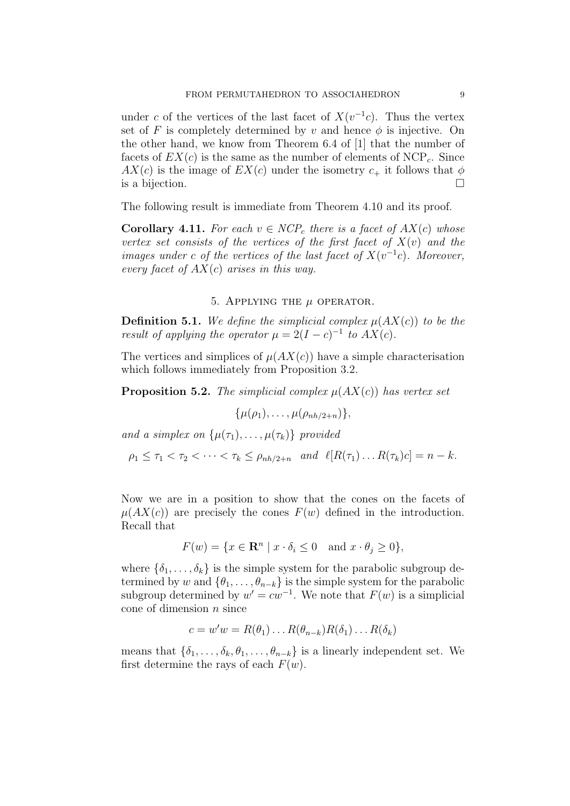under *c* of the vertices of the last facet of  $X(v^{-1}c)$ . Thus the vertex set of *F* is completely determined by *v* and hence  $\phi$  is injective. On the other hand, we know from Theorem 6.4 of [1] that the number of facets of  $EX(c)$  is the same as the number of elements of  $NCP<sub>c</sub>$ . Since  $AX(c)$  is the image of  $EX(c)$  under the isometry  $c_+$  it follows that  $\phi$ is a bijection.  $\Box$ 

The following result is immediate from Theorem 4.10 and its proof.

**Corollary 4.11.** For each  $v \in NCP_c$  there is a facet of  $AX(c)$  whose *vertex set consists of the vertices of the first facet of*  $X(v)$  and the *images under c of the vertices of the last facet of*  $X(v^{-1}c)$ *. Moreover, every facet of AX*(*c*) *arises in this way.*

# 5. Applying the *µ* operator.

**Definition 5.1.** We define the simplicial complex  $\mu(AX(c))$  to be the *result of applying the operator*  $\mu = 2(I - c)^{-1}$  *to*  $AX(c)$ *.* 

The vertices and simplices of  $\mu(AX(c))$  have a simple characterisation which follows immediately from Proposition 3.2.

**Proposition 5.2.** *The simplicial complex*  $\mu$ ( $AX(c)$ ) *has vertex set* 

$$
\{\mu(\rho_1),\ldots,\mu(\rho_{nh/2+n})\},\
$$

*and a simplex on*  $\{\mu(\tau_1), \ldots, \mu(\tau_k)\}\$  *provided* 

 $\rho_1 \leq \tau_1 \leq \tau_2 \leq \cdots \leq \tau_k \leq \rho_{nh/2+n}$  and  $\ell[R(\tau_1) \dots R(\tau_k)c] = n - k$ .

Now we are in a position to show that the cones on the facets of  $\mu(AX(c))$  are precisely the cones  $F(w)$  defined in the introduction. Recall that

$$
F(w) = \{ x \in \mathbf{R}^n \mid x \cdot \delta_i \le 0 \text{ and } x \cdot \theta_j \ge 0 \},
$$

where  $\{\delta_1, \ldots, \delta_k\}$  is the simple system for the parabolic subgroup determined by *w* and  $\{\theta_1, \ldots, \theta_{n-k}\}\$ is the simple system for the parabolic subgroup determined by  $w' = cw^{-1}$ . We note that  $F(w)$  is a simplicial cone of dimension *n* since

$$
c = w'w = R(\theta_1) \dots R(\theta_{n-k})R(\delta_1) \dots R(\delta_k)
$$

means that  $\{\delta_1, \ldots, \delta_k, \theta_1, \ldots, \theta_{n-k}\}\$ is a linearly independent set. We first determine the rays of each  $F(w)$ .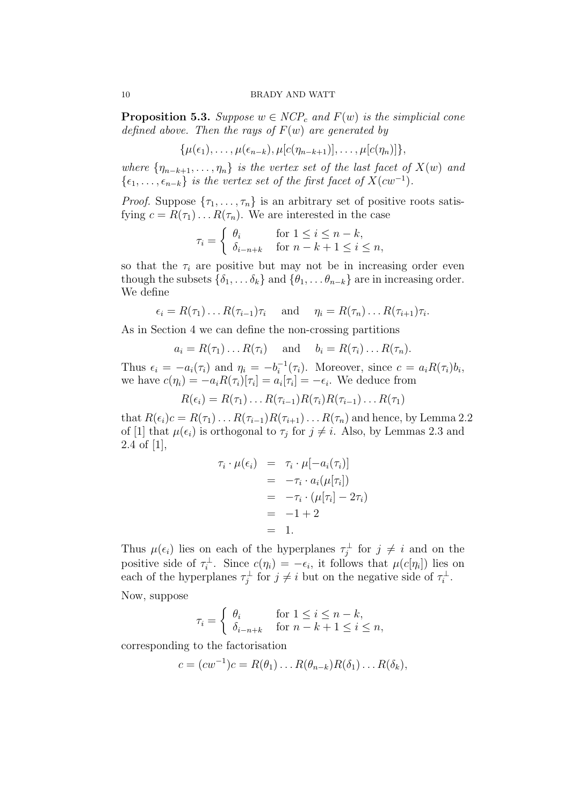**Proposition 5.3.** *Suppose*  $w \in NCP_c$  *and*  $F(w)$  *is the simplicial cone defined above. Then the rays of F*(*w*) *are generated by*

$$
\{\mu(\epsilon_1),\ldots,\mu(\epsilon_{n-k}),\mu[c(\eta_{n-k+1})],\ldots,\mu[c(\eta_n)]\},\
$$

*where*  ${\lbrace \eta_{n-k+1}, \ldots, \eta_n \rbrace}$  *is the vertex set of the last facet of*  $X(w)$  *and*  $\{\epsilon_1, \ldots, \epsilon_{n-k}\}\$ is the vertex set of the first facet of  $X(cw^{-1})$ .

*Proof.* Suppose  $\{\tau_1, \ldots, \tau_n\}$  is an arbitrary set of positive roots satisfying  $c = R(\tau_1) \dots R(\tau_n)$ . We are interested in the case

$$
\tau_i = \begin{cases} \theta_i & \text{for } 1 \le i \le n - k, \\ \delta_{i-n+k} & \text{for } n - k + 1 \le i \le n, \end{cases}
$$

so that the  $\tau_i$  are positive but may not be in increasing order even though the subsets  $\{\delta_1, \ldots, \delta_k\}$  and  $\{\theta_1, \ldots, \theta_{n-k}\}$  are in increasing order. We define

$$
\epsilon_i = R(\tau_1) \dots R(\tau_{i-1}) \tau_i
$$
 and  $\eta_i = R(\tau_n) \dots R(\tau_{i+1}) \tau_i$ .

As in Section 4 we can define the non-crossing partitions

$$
a_i = R(\tau_1) \dots R(\tau_i)
$$
 and  $b_i = R(\tau_i) \dots R(\tau_n)$ .

Thus  $\epsilon_i = -a_i(\tau_i)$  and  $\eta_i = -b_i^{-1}(\tau_i)$ . Moreover, since  $c = a_i R(\tau_i) b_i$ , we have  $c(\eta_i) = -a_i R(\tau_i) [\tau_i] = a_i [\tau_i] = -\epsilon_i$ . We deduce from

$$
R(\epsilon_i) = R(\tau_1) \dots R(\tau_{i-1}) R(\tau_i) R(\tau_{i-1}) \dots R(\tau_1)
$$

that  $R(\epsilon_i)c = R(\tau_1) \ldots R(\tau_{i-1})R(\tau_{i+1}) \ldots R(\tau_n)$  and hence, by Lemma 2.2 of [1] that  $\mu(\epsilon_i)$  is orthogonal to  $\tau_j$  for  $j \neq i$ . Also, by Lemmas 2.3 and 2.4 of [1],

$$
\tau_i \cdot \mu(\epsilon_i) = \tau_i \cdot \mu[-a_i(\tau_i)]
$$
  
=  $-\tau_i \cdot a_i(\mu[\tau_i])$   
=  $-\tau_i \cdot (\mu[\tau_i] - 2\tau_i)$   
=  $-1 + 2$   
= 1.

Thus  $\mu(\epsilon_i)$  lies on each of the hyperplanes  $\tau_j^{\perp}$  for  $j \neq i$  and on the positive side of  $\tau_i^{\perp}$ . Since  $c(\eta_i) = -\epsilon_i$ , it follows that  $\mu(c[\eta_i])$  lies on each of the hyperplanes  $\tau_j^{\perp}$  for  $j \neq i$  but on the negative side of  $\tau_i^{\perp}$ .

Now, suppose

$$
\tau_i = \begin{cases} \theta_i & \text{for } 1 \le i \le n - k, \\ \delta_{i-n+k} & \text{for } n - k + 1 \le i \le n, \end{cases}
$$

corresponding to the factorisation

$$
c = (cw^{-1})c = R(\theta_1) \dots R(\theta_{n-k})R(\delta_1) \dots R(\delta_k),
$$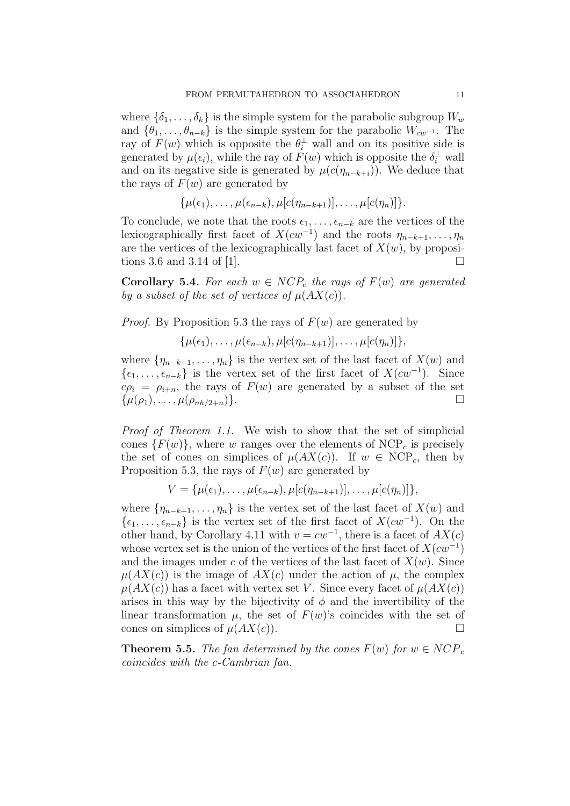where  $\{\delta_1, \ldots, \delta_k\}$  is the simple system for the parabolic subgroup  $W_w$ and  $\{\theta_1, \ldots, \theta_{n-k}\}\$ is the simple system for the parabolic  $W_{cw}$ <sup>-1</sup>. The ray of  $F(w)$  which is opposite the  $\theta_i^{\perp}$  wall and on its positive side is generated by  $\mu(\epsilon_i)$ , while the ray of  $F(w)$  which is opposite the  $\delta_i^{\perp}$  wall and on its negative side is generated by  $\mu(c(\eta_{n-k+i}))$ . We deduce that the rays of  $F(w)$  are generated by

$$
\{\mu(\epsilon_1),\ldots,\mu(\epsilon_{n-k}),\mu[c(\eta_{n-k+1})],\ldots,\mu[c(\eta_n)]\}.
$$

To conclude, we note that the roots  $\epsilon_1, \ldots, \epsilon_{n-k}$  are the vertices of the lexicographically first facet of  $X(cw^{-1})$  and the roots  $\eta_{n-k+1}, \ldots, \eta_n$ are the vertices of the lexicographically last facet of  $X(w)$ , by propositions 3.6 and 3.14 of [1].  $\Box$ 

**Corollary 5.4.** For each  $w \in NCP_c$  the rays of  $F(w)$  are generated *by a subset of the set of vertices of*  $\mu(AX(c))$ *.* 

*Proof.* By Proposition 5.3 the rays of  $F(w)$  are generated by

 $\{ \mu(\epsilon_1), \ldots, \mu(\epsilon_{n-k}), \mu[c(\eta_{n-k+1})], \ldots, \mu[c(\eta_n)] \},\}$ 

where  $\{\eta_{n-k+1}, \ldots, \eta_n\}$  is the vertex set of the last facet of  $X(w)$  and *{* $\epsilon_1, \ldots, \epsilon_{n-k}$ } is the vertex set of the first facet of *X*( $cw^{-1}$ ). Since  $c\rho_i = \rho_{i+n}$ , the rays of  $F(w)$  are generated by a subset of the set  $\{\mu(\rho_1), \ldots, \mu(\rho_{nh/2+n})\}.$ 

*Proof of Theorem 1.1.* We wish to show that the set of simplicial cones  $\{F(w)\}\$ , where *w* ranges over the elements of NCP<sub>c</sub> is precisely the set of cones on simplices of  $\mu(AX(c))$ . If  $w \in \text{NCP}_c$ , then by Proposition 5.3, the rays of  $F(w)$  are generated by

$$
V = {\mu(\epsilon_1), \ldots, \mu(\epsilon_{n-k}), \mu[c(\eta_{n-k+1})], \ldots, \mu[c(\eta_n)]},
$$

where  $\{\eta_{n-k+1}, \ldots, \eta_n\}$  is the vertex set of the last facet of  $X(w)$  and *{* $\epsilon_1, \ldots, \epsilon_{n-k}$ } is the vertex set of the first facet of *X*( $cw^{-1}$ ). On the other hand, by Corollary 4.11 with  $v = cw^{-1}$ , there is a facet of  $AX(c)$ whose vertex set is the union of the vertices of the first facet of *X*(*cw−*<sup>1</sup> ) and the images under *c* of the vertices of the last facet of  $X(w)$ . Since  $\mu(AX(c))$  is the image of  $AX(c)$  under the action of  $\mu$ , the complex  $\mu(AX(c))$  has a facet with vertex set *V*. Since every facet of  $\mu(AX(c))$ arises in this way by the bijectivity of  $\phi$  and the invertibility of the linear transformation  $\mu$ , the set of  $F(w)$ 's coincides with the set of cones on simplices of  $\mu(AX(c))$ .

**Theorem 5.5.** *The fan determined by the cones*  $F(w)$  *for*  $w \in NCP_c$ *coincides with the c-Cambrian fan.*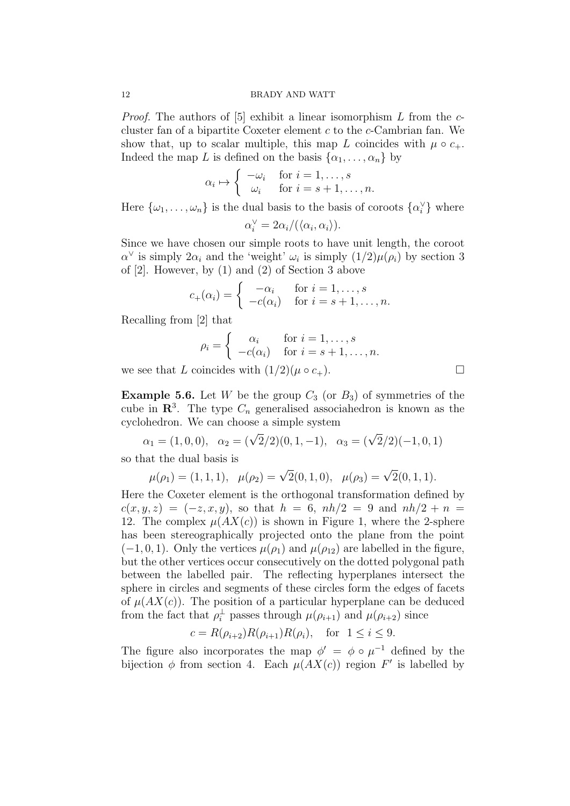*Proof.* The authors of [5] exhibit a linear isomorphism *L* from the *c*cluster fan of a bipartite Coxeter element *c* to the *c*-Cambrian fan. We show that, up to scalar multiple, this map *L* coincides with  $\mu \circ c_+$ . Indeed the map *L* is defined on the basis  $\{\alpha_1, \dots, \alpha_n\}$  by

$$
\alpha_i \mapsto \begin{cases}\n-\omega_i & \text{for } i = 1, \dots, s \\
\omega_i & \text{for } i = s + 1, \dots, n.\n\end{cases}
$$

Here  $\{\omega_1, \ldots, \omega_n\}$  is the dual basis to the basis of coroots  $\{\alpha_i^{\vee}\}\$  where

 $\alpha_i^{\vee} = 2\alpha_i/(\langle \alpha_i, \alpha_i \rangle).$ 

Since we have chosen our simple roots to have unit length, the coroot  $\alpha^{\vee}$  is simply  $2\alpha_i$  and the 'weight'  $\omega_i$  is simply  $(1/2)\mu(\rho_i)$  by section 3 of [2]. However, by (1) and (2) of Section 3 above

$$
c_{+}(\alpha_{i}) = \begin{cases} -\alpha_{i} & \text{for } i = 1, \ldots, s \\ -c(\alpha_{i}) & \text{for } i = s+1, \ldots, n. \end{cases}
$$

Recalling from [2] that

$$
\rho_i = \begin{cases} \alpha_i & \text{for } i = 1, \dots, s \\ -c(\alpha_i) & \text{for } i = s+1, \dots, n. \end{cases}
$$

we see that *L* coincides with  $(1/2)(\mu \circ c_+)$ .

**Example 5.6.** Let *W* be the group  $C_3$  (or  $B_3$ ) of symmetries of the cube in  $\mathbb{R}^3$ . The type  $C_n$  generalised associahedron is known as the cyclohedron. We can choose a simple system

$$
\alpha_1 = (1, 0, 0), \quad \alpha_2 = (\sqrt{2}/2)(0, 1, -1), \quad \alpha_3 = (\sqrt{2}/2)(-1, 0, 1)
$$

so that the dual basis is

$$
\mu(\rho_1) = (1, 1, 1), \quad \mu(\rho_2) = \sqrt{2}(0, 1, 0), \quad \mu(\rho_3) = \sqrt{2}(0, 1, 1).
$$

Here the Coxeter element is the orthogonal transformation defined by  $c(x, y, z) = (-z, x, y)$ , so that  $h = 6$ ,  $nh/2 = 9$  and  $nh/2 + n =$ 12. The complex  $\mu(AX(c))$  is shown in Figure 1, where the 2-sphere has been stereographically projected onto the plane from the point  $(-1, 0, 1)$ . Only the vertices  $\mu(\rho_1)$  and  $\mu(\rho_{12})$  are labelled in the figure, but the other vertices occur consecutively on the dotted polygonal path between the labelled pair. The reflecting hyperplanes intersect the sphere in circles and segments of these circles form the edges of facets of  $\mu(AX(c))$ . The position of a particular hyperplane can be deduced from the fact that  $\rho_i^{\perp}$  passes through  $\mu(\rho_{i+1})$  and  $\mu(\rho_{i+2})$  since

$$
c = R(\rho_{i+2})R(\rho_{i+1})R(\rho_i)
$$
, for  $1 \le i \le 9$ .

The figure also incorporates the map  $\phi' = \phi \circ \mu^{-1}$  defined by the bijection  $\phi$  from section 4. Each  $\mu(AX(c))$  region F' is labelled by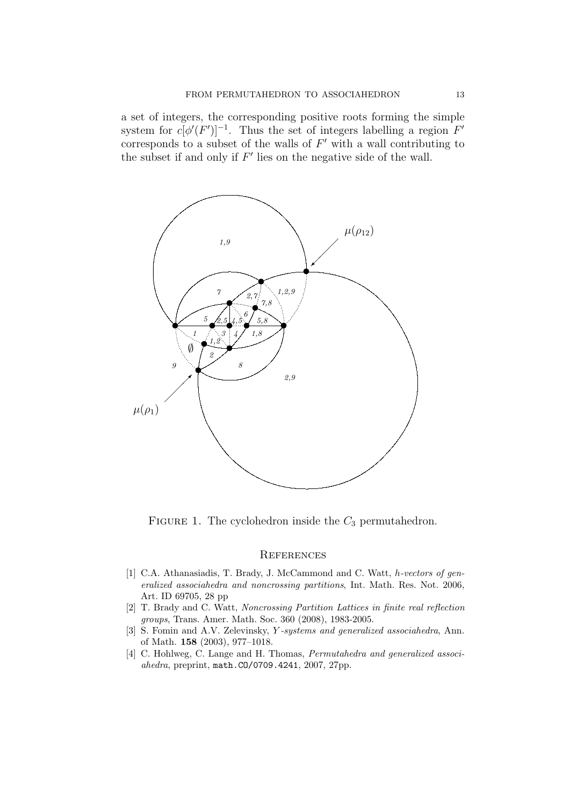a set of integers, the corresponding positive roots forming the simple system for  $c[\phi'(F')]^{-1}$ . Thus the set of integers labelling a region  $F'$ corresponds to a subset of the walls of *F ′* with a wall contributing to the subset if and only if  $F'$  lies on the negative side of the wall.



FIGURE 1. The cyclohedron inside the  $C_3$  permutahedron.

#### **REFERENCES**

- [1] C.A. Athanasiadis, T. Brady, J. McCammond and C. Watt, *h-vectors of generalized associahedra and noncrossing partitions*, Int. Math. Res. Not. 2006, Art. ID 69705, 28 pp
- [2] T. Brady and C. Watt, *Noncrossing Partition Lattices in finite real reflection groups*, Trans. Amer. Math. Soc. 360 (2008), 1983-2005.
- [3] S. Fomin and A.V. Zelevinsky, *Y -systems and generalized associahedra*, Ann. of Math. **158** (2003), 977–1018.
- [4] C. Hohlweg, C. Lange and H. Thomas, *Permutahedra and generalized associahedra*, preprint, math.CO/0709.4241, 2007, 27pp.